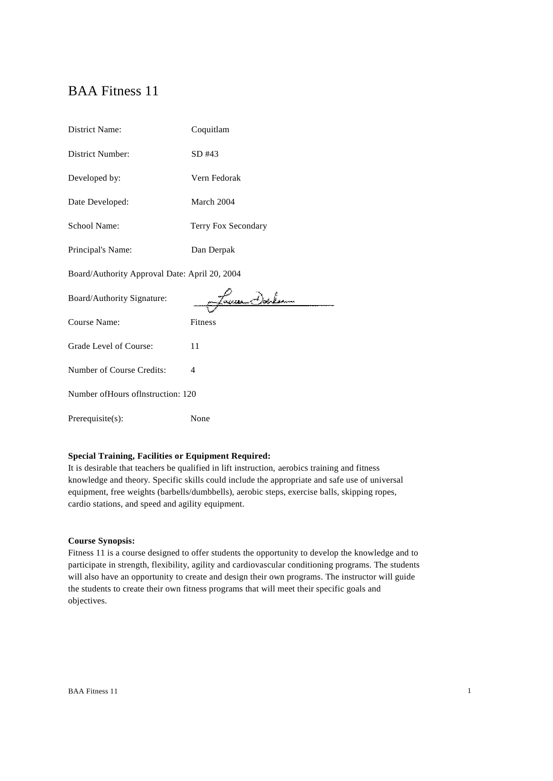# BAA Fitness 11

| <b>District Name:</b>                         | Coquitlam           |  |
|-----------------------------------------------|---------------------|--|
| District Number:                              | SD #43              |  |
| Developed by:                                 | Vern Fedorak        |  |
| Date Developed:                               | March 2004          |  |
| <b>School Name:</b>                           | Terry Fox Secondary |  |
| Principal's Name:                             | Dan Derpak          |  |
| Board/Authority Approval Date: April 20, 2004 |                     |  |
|                                               |                     |  |
| Board/Authority Signature:                    | essan Chalean       |  |
| Course Name:                                  | Fitness             |  |
| Grade Level of Course:                        | 11                  |  |
| Number of Course Credits:                     | $\overline{4}$      |  |
| Number of Hours of Instruction: 120           |                     |  |

# **Special Training, Facilities or Equipment Required:**

It is desirable that teachers be qualified in lift instruction, aerobics training and fitness knowledge and theory. Specific skills could include the appropriate and safe use of universal equipment, free weights (barbells/dumbbells), aerobic steps, exercise balls, skipping ropes, cardio stations, and speed and agility equipment.

#### **Course Synopsis:**

Fitness 11 is a course designed to offer students the opportunity to develop the knowledge and to participate in strength, flexibility, agility and cardiovascular conditioning programs. The students will also have an opportunity to create and design their own programs. The instructor will guide the students to create their own fitness programs that will meet their specific goals and objectives.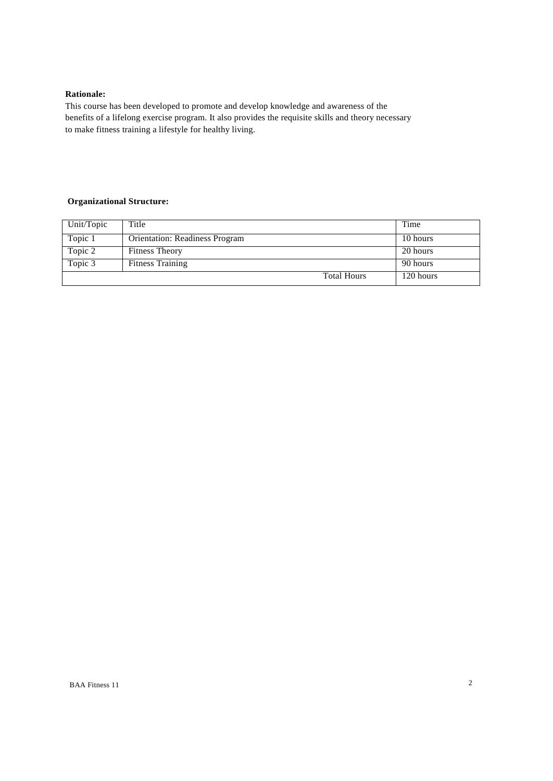# **Rationale:**

This course has been developed to promote and develop knowledge and awareness of the benefits of a lifelong exercise program. It also provides the requisite skills and theory necessary to make fitness training a lifestyle for healthy living.

# **Organizational Structure:**

| Unit/Topic | Title                                 | Time      |
|------------|---------------------------------------|-----------|
| Topic 1    | <b>Orientation: Readiness Program</b> | 10 hours  |
| Topic 2    | <b>Fitness Theory</b>                 | 20 hours  |
| Topic 3    | <b>Fitness Training</b>               | 90 hours  |
|            | <b>Total Hours</b>                    | 120 hours |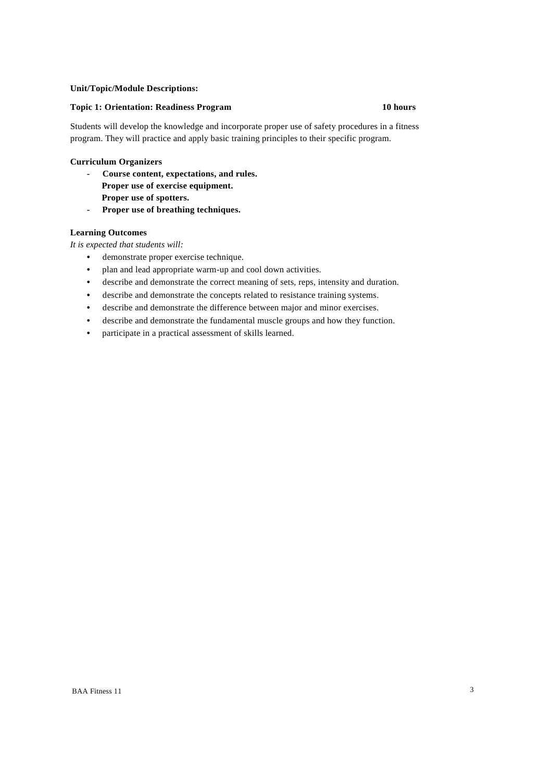#### **Unit/Topic/Module Descriptions:**

#### **Topic 1: Orientation: Readiness Program 10 hours**

Students will develop the knowledge and incorporate proper use of safety procedures in a fitness program. They will practice and apply basic training principles to their specific program.

#### **Curriculum Organizers**

- **- Course content, expectations, and rules. Proper use of exercise equipment. Proper use of spotters.**
- **- Proper use of breathing techniques.**

#### **Learning Outcomes**

*It is expected that students will:*

- **•** demonstrate proper exercise technique.
- **•** plan and lead appropriate warm-up and cool down activities.
- **•** describe and demonstrate the correct meaning of sets, reps, intensity and duration.
- **•** describe and demonstrate the concepts related to resistance training systems.
- **•** describe and demonstrate the difference between major and minor exercises.
- **•** describe and demonstrate the fundamental muscle groups and how they function.
- **•** participate in a practical assessment of skills learned.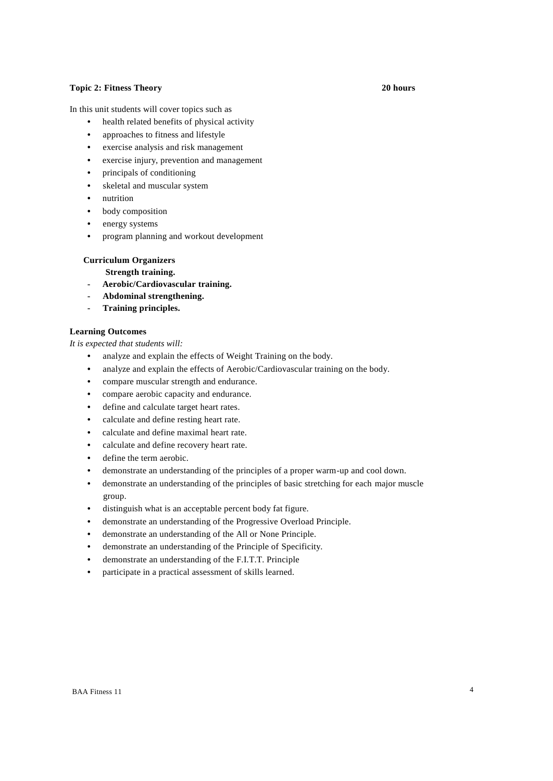# **Topic 2: Fitness Theory 20 hours**

In this unit students will cover topics such as

- **•** health related benefits of physical activity
- **•** approaches to fitness and lifestyle
- **•** exercise analysis and risk management
- **•** exercise injury, prevention and management
- **•** principals of conditioning
- **•** skeletal and muscular system
- **•** nutrition
- **•** body composition
- **•** energy systems
- **•** program planning and workout development

# **Curriculum Organizers**

**Strength training.**

- **- Aerobic/Cardiovascular training.**
- **- Abdominal strengthening.**
- **- Training principles.**

# **Learning Outcomes**

*It is expected that students will:*

- **•** analyze and explain the effects of Weight Training on the body.
- **•** analyze and explain the effects of Aerobic/Cardiovascular training on the body.
- **•** compare muscular strength and endurance.
- **•** compare aerobic capacity and endurance.
- **•** define and calculate target heart rates.
- **•** calculate and define resting heart rate.
- **•** calculate and define maximal heart rate.
- **•** calculate and define recovery heart rate.
- **•** define the term aerobic.
- **•** demonstrate an understanding of the principles of a proper warm-up and cool down.
- **•** demonstrate an understanding of the principles of basic stretching for each major muscle group.
- **•** distinguish what is an acceptable percent body fat figure.
- **•** demonstrate an understanding of the Progressive Overload Principle.
- **•** demonstrate an understanding of the All or None Principle.
- **•** demonstrate an understanding of the Principle of Specificity.
- **•** demonstrate an understanding of the F.I.T.T. Principle
- **•** participate in a practical assessment of skills learned.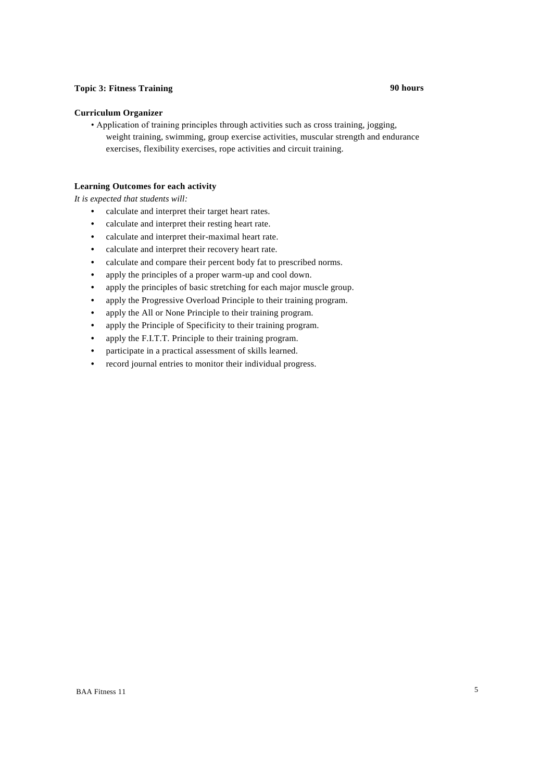# **Topic 3: Fitness Training 90 hours**

#### **Curriculum Organizer**

• Application of training principles through activities such as cross training, jogging, weight training, swimming, group exercise activities, muscular strength and endurance exercises, flexibility exercises, rope activities and circuit training.

# **Learning Outcomes for each activity**

#### *It is expected that students will:*

- **•** calculate and interpret their target heart rates.
- **•** calculate and interpret their resting heart rate.
- **•** calculate and interpret their-maximal heart rate.
- **•** calculate and interpret their recovery heart rate.
- **•** calculate and compare their percent body fat to prescribed norms.
- **•** apply the principles of a proper warm-up and cool down.
- **•** apply the principles of basic stretching for each major muscle group.
- **•** apply the Progressive Overload Principle to their training program.
- **•** apply the All or None Principle to their training program.
- **•** apply the Principle of Specificity to their training program.
- **•** apply the F.I.T.T. Principle to their training program.
- **•** participate in a practical assessment of skills learned.
- **•** record journal entries to monitor their individual progress.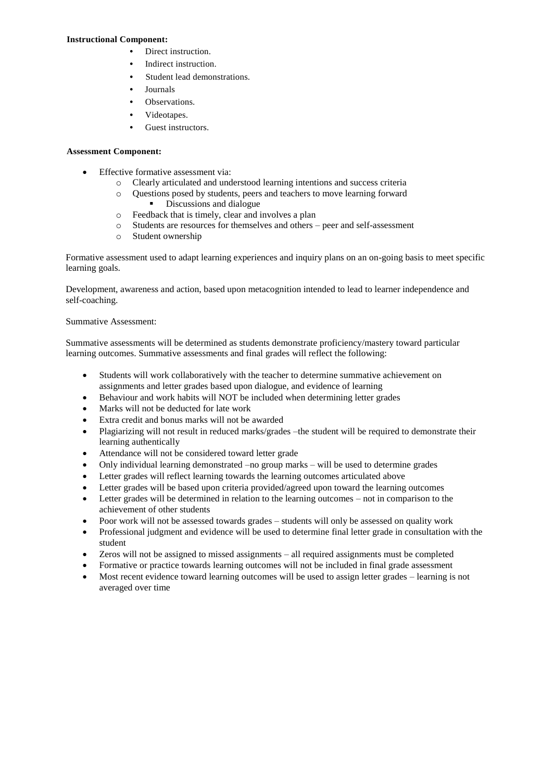### **Instructional Component:**

- **•** Direct instruction.
- **•** Indirect instruction.
- **•** Student lead demonstrations.
- **•** Journals
- **•** Observations.
- **•** Videotapes.
- **•** Guest instructors.

# **Assessment Component:**

- Effective formative assessment via:
	- o Clearly articulated and understood learning intentions and success criteria
	- o Questions posed by students, peers and teachers to move learning forward
		- Discussions and dialogue
	- o Feedback that is timely, clear and involves a plan
	- o Students are resources for themselves and others peer and self-assessment
	- o Student ownership

Formative assessment used to adapt learning experiences and inquiry plans on an on-going basis to meet specific learning goals.

Development, awareness and action, based upon metacognition intended to lead to learner independence and self-coaching.

# Summative Assessment:

Summative assessments will be determined as students demonstrate proficiency/mastery toward particular learning outcomes. Summative assessments and final grades will reflect the following:

- Students will work collaboratively with the teacher to determine summative achievement on assignments and letter grades based upon dialogue, and evidence of learning
- Behaviour and work habits will NOT be included when determining letter grades
- Marks will not be deducted for late work
- Extra credit and bonus marks will not be awarded
- Plagiarizing will not result in reduced marks/grades –the student will be required to demonstrate their learning authentically
- Attendance will not be considered toward letter grade
- Only individual learning demonstrated –no group marks will be used to determine grades
- Letter grades will reflect learning towards the learning outcomes articulated above
- Letter grades will be based upon criteria provided/agreed upon toward the learning outcomes
- Letter grades will be determined in relation to the learning outcomes not in comparison to the achievement of other students
- Poor work will not be assessed towards grades students will only be assessed on quality work
- Professional judgment and evidence will be used to determine final letter grade in consultation with the student
- Zeros will not be assigned to missed assignments all required assignments must be completed
- Formative or practice towards learning outcomes will not be included in final grade assessment
- Most recent evidence toward learning outcomes will be used to assign letter grades learning is not averaged over time